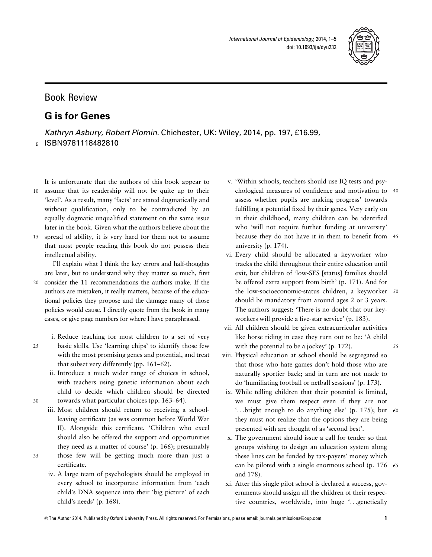

## Book Review

## G is for Genes

Kathryn Asbury, Robert Plomin. Chichester, UK: Wiley, 2014, pp. 197, £16.99, <sup>5</sup> ISBN9781118482810

It is unfortunate that the authors of this book appear to

- 10 assume that its readership will not be quite up to their 'level'. As a result, many 'facts' are stated dogmatically and without qualification, only to be contradicted by an equally dogmatic unqualified statement on the same issue later in the book. Given what the authors believe about the
- 15 spread of ability, it is very hard for them not to assume that most people reading this book do not possess their intellectual ability.

I'll explain what I think the key errors and half-thoughts are later, but to understand why they matter so much, first

- 20 consider the 11 recommendations the authors make. If the authors are mistaken, it really matters, because of the educational policies they propose and the damage many of those policies would cause. I directly quote from the book in many cases, or give page numbers for where I have paraphrased.
- i. Reduce teaching for most children to a set of very 25 basic skills. Use 'learning chips' to identify those few with the most promising genes and potential, and treat that subset very differently (pp. 161–62).
- ii. Introduce a much wider range of choices in school, with teachers using genetic information about each child to decide which children should be directed 30 towards what particular choices (pp. 163–64).

- iii. Most children should return to receiving a schoolleaving certificate (as was common before World War II). Alongside this certificate, 'Children who excel should also be offered the support and opportunities they need as a matter of course' (p. 166); presumably 35 those few will be getting much more than just a
	- certificate.
	- iv. A large team of psychologists should be employed in every school to incorporate information from 'each child's DNA sequence into their 'big picture' of each child's needs' (p. 168).
- v. 'Within schools, teachers should use IQ tests and psychological measures of confidence and motivation to 40 assess whether pupils are making progress' towards fulfilling a potential fixed by their genes. Very early on in their childhood, many children can be identified who 'will not require further funding at university' because they do not have it in them to benefit from 45 university (p. 174).
- vi. Every child should be allocated a keyworker who tracks the child throughout their entire education until exit, but children of 'low-SES [status] families should be offered extra support from birth' (p. 171). And for the low-socioeconomic-status children, a keyworker 50 should be mandatory from around ages 2 or 3 years. The authors suggest: 'There is no doubt that our keyworkers will provide a five-star service' (p. 183).
- vii. All children should be given extracurricular activities like horse riding in case they turn out to be: 'A child with the potential to be a jockey' (p. 172). 55
- viii. Physical education at school should be segregated so that those who hate games don't hold those who are naturally sportier back; and in turn are not made to do 'humiliating football or netball sessions' (p. 173).
- ix. While telling children that their potential is limited, we must give them respect even if they are not '...bright enough to do anything else' (p. 175); but 60 they must not realize that the options they are being presented with are thought of as 'second best'.
- x. The government should issue a call for tender so that groups wishing to design an education system along these lines can be funded by tax-payers' money which can be piloted with a single enormous school (p. 176 65 and 178).
- xi. After this single pilot school is declared a success, governments should assign all the children of their respective countries, worldwide, into huge '...genetically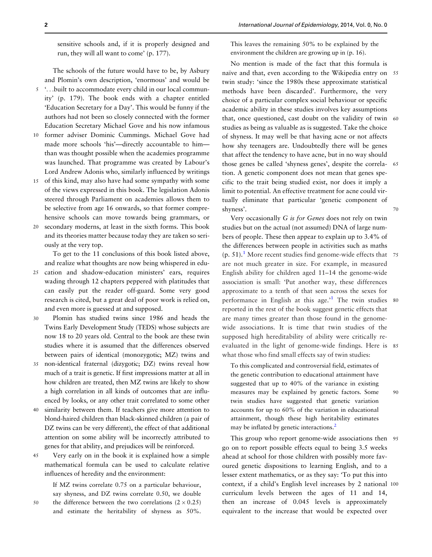sensitive schools and, if it is properly designed and run, they will all want to come' (p. 177).

The schools of the future would have to be, by Asbury and Plomin's own description, 'enormous' and would be 5 '...built to accommodate every child in our local community' (p. 179). The book ends with a chapter entitled

- 'Education Secretary for a Day'. This would be funny if the authors had not been so closely connected with the former Education Secretary Michael Gove and his now infamous
- 10 former adviser Dominic Cummings. Michael Gove had made more schools 'his'—directly accountable to him than was thought possible when the academies programme was launched. That programme was created by Labour's Lord Andrew Adonis who, similarly influenced by writings
- 15 of this kind, may also have had some sympathy with some of the views expressed in this book. The legislation Adonis steered through Parliament on academies allows them to be selective from age 16 onwards, so that former comprehensive schools can move towards being grammars, or
- 20 secondary moderns, at least in the sixth forms. This book and its theories matter because today they are taken so seriously at the very top.

To get to the 11 conclusions of this book listed above, and realize what thoughts are now being whispered in edu-

- 25 cation and shadow-education ministers' ears, requires wading through 12 chapters peppered with platitudes that can easily put the reader off-guard. Some very good research is cited, but a great deal of poor work is relied on, and even more is guessed at and supposed.
- 30 Plomin has studied twins since 1986 and heads the Twins Early Development Study (TEDS) whose subjects are now 18 to 20 years old. Central to the book are these twin studies where it is assumed that the differences observed between pairs of identical (monozygotic; MZ) twins and
- 35 non-identical fraternal (dizygotic; DZ) twins reveal how much of a trait is genetic. If first impressions matter at all in how children are treated, then MZ twins are likely to show a high correlation in all kinds of outcomes that are influenced by looks, or any other trait correlated to some other
- 40 similarity between them. If teachers give more attention to blond-haired children than black-skinned children (a pair of DZ twins can be very different), the effect of that additional attention on some ability will be incorrectly attributed to genes for that ability, and prejudices will be reinforced.

45 Very early on in the book it is explained how a simple mathematical formula can be used to calculate relative influences of heredity and the environment:

If MZ twins correlate 0.75 on a particular behaviour, say shyness, and DZ twins correlate 0.50, we double 50 the difference between the two correlations  $(2 \times 0.25)$ and estimate the heritability of shyness as 50%. This leaves the remaining 50% to be explained by the environment the children are growing up in (p. 16).

No mention is made of the fact that this formula is naïve and that, even according to the Wikipedia entry on 55 twin study: 'since the 1980s these approximate statistical methods have been discarded'. Furthermore, the very choice of a particular complex social behaviour or specific academic ability in these studies involves key assumptions that, once questioned, cast doubt on the validity of twin studies as being as valuable as is suggested. Take the choice of shyness. It may well be that having acne or not affects how shy teenagers are. Undoubtedly there will be genes that affect the tendency to have acne, but in no way should those genes be called 'shyness genes', despite the correla- 65 tion. A genetic component does not mean that genes specific to the trait being studied exist, nor does it imply a limit to potential. An effective treatment for acne could virtually eliminate that particular 'genetic component of shyness'. 70

Very occasionally G is for Genes does not rely on twin studies but on the actual (not assumed) DNA of large numbers of people. These then appear to explain up to 3.4% of the differences between people in activities such as maths  $(p. 51).$  $(p. 51).$  $(p. 51).$ <sup>1</sup> More recent studies find genome-wide effects that 75 are not much greater in size. For example, in measured English ability for children aged 11–14 the genome-wide association is small: 'Put another way, these differences approximate to a tenth of that seen across the sexes for performance in English at this age.<sup>[1](#page-3-0)</sup> The twin studies  $\delta$ 0 reported in the rest of the book suggest genetic effects that are many times greater than those found in the genomewide associations. It is time that twin studies of the supposed high hereditability of ability were critically reevaluated in the light of genome-wide findings. Here is 85 what those who find small effects say of twin studies:

To this complicated and controversial field, estimates of the genetic contribution to educational attainment have suggested that up to 40% of the variance in existing measures may be explained by genetic factors. Some 90 twin studies have suggested that genetic variation accounts for up to 60% of the variation in educational attainment, though these high heritability estimates may be inflated by genetic interactions.<sup>[2](#page-3-0)</sup>

This group who report genome-wide associations then 95 go on to report possible effects equal to being 3.5 weeks ahead at school for those children with possibly more favoured genetic dispositions to learning English, and to a lesser extent mathematics, or as they say: 'To put this into context, if a child's English level increases by 2 national 100 curriculum levels between the ages of 11 and 14, then an increase of 0.045 levels is approximately equivalent to the increase that would be expected over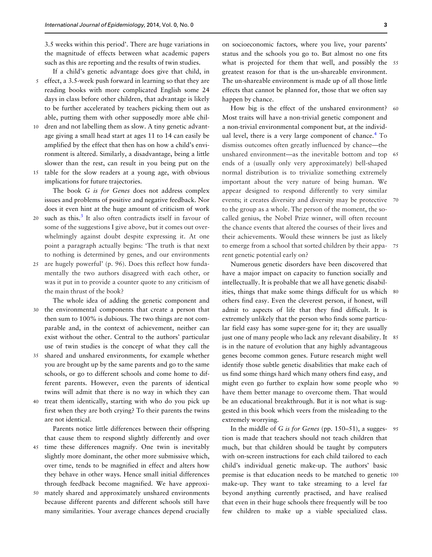3.5 weeks within this period'. There are huge variations in the magnitude of effects between what academic papers such as this are reporting and the results of twin studies.

- If a child's genetic advantage does give that child, in 5 effect, a 3.5-week push forward in learning so that they are reading books with more complicated English some 24 days in class before other children, that advantage is likely to be further accelerated by teachers picking them out as able, putting them with other supposedly more able chil-
- 10 dren and not labelling them as slow. A tiny genetic advantage giving a small head start at ages 11 to 14 can easily be amplified by the effect that then has on how a child's environment is altered. Similarly, a disadvantage, being a little slower than the rest, can result in you being put on the
- table for the slow readers at a young age, with obvious implications for future trajectories.

The book G is for Genes does not address complex issues and problems of positive and negative feedback. Nor does it even hint at the huge amount of criticism of work

- 20 such as this.<sup>[3](#page-3-0)</sup> It also often contradicts itself in favour of some of the suggestions I give above, but it comes out overwhelmingly against doubt despite expressing it. At one point a paragraph actually begins: 'The truth is that next to nothing is determined by genes, and our environments
- 25 are hugely powerful' (p. 96). Does this reflect how fundamentally the two authors disagreed with each other, or was it put in to provide a counter quote to any criticism of the main thrust of the book?

The whole idea of adding the genetic component and

- 30 the environmental components that create a person that then sum to 100% is dubious. The two things are not comparable and, in the context of achievement, neither can exist without the other. Central to the authors' particular use of twin studies is the concept of what they call the
- 35 shared and unshared environments, for example whether you are brought up by the same parents and go to the same schools, or go to different schools and come home to different parents. However, even the parents of identical twins will admit that there is no way in which they can
- 40 treat them identically, starting with who do you pick up first when they are both crying? To their parents the twins are not identical.

Parents notice little differences between their offspring that cause them to respond slightly differently and over

- 45 time these differences magnify. One twin is inevitably slightly more dominant, the other more submissive which, over time, tends to be magnified in effect and alters how they behave in other ways. Hence small initial differences through feedback become magnified. We have approxi-
- 50 mately shared and approximately unshared environments because different parents and different schools still have many similarities. Your average chances depend crucially

on socioeconomic factors, where you live, your parents' status and the schools you go to. But almost no one fits what is projected for them that well, and possibly the 55 greatest reason for that is the un-shareable environment. The un-shareable environment is made up of all those little effects that cannot be planned for, those that we often say happen by chance.

How big is the effect of the unshared environment? 60 Most traits will have a non-trivial genetic component and a non-trivial environmental component but, at the individ-ual level, there is a very large component of chance.<sup>[4](#page-3-0)</sup> To dismiss outcomes often greatly influenced by chance—the unshared environment—as the inevitable bottom and top 65 ends of a (usually only very approximately) bell-shaped normal distribution is to trivialize something extremely important about the very nature of being human. We appear designed to respond differently to very similar events; it creates diversity and diversity may be protective 70 to the group as a whole. The person of the moment, the socalled genius, the Nobel Prize winner, will often recount the chance events that altered the courses of their lives and their achievements. Would these winners be just as likely to emerge from a school that sorted children by their appa- 75 rent genetic potential early on?

Numerous genetic disorders have been discovered that have a major impact on capacity to function socially and intellectually. It is probable that we all have genetic disabilities, things that make some things difficult for us which 80 others find easy. Even the cleverest person, if honest, will admit to aspects of life that they find difficult. It is extremely unlikely that the person who finds some particular field easy has some super-gene for it; they are usually just one of many people who lack any relevant disability. It 85 is in the nature of evolution that any highly advantageous genes become common genes. Future research might well identify those subtle genetic disabilities that make each of us find some things hard which many others find easy, and might even go further to explain how some people who 90 have them better manage to overcome them. That would be an educational breakthrough. But it is not what is suggested in this book which veers from the misleading to the extremely worrying.

In the middle of G is for Genes (pp. 150–51), a sugges- 95 tion is made that teachers should not teach children that much, but that children should be taught by computers with on-screen instructions for each child tailored to each child's individual genetic make-up. The authors' basic premise is that education needs to be matched to genetic 100 make-up. They want to take streaming to a level far beyond anything currently practised, and have realised that even in their huge schools there frequently will be too few children to make up a viable specialized class.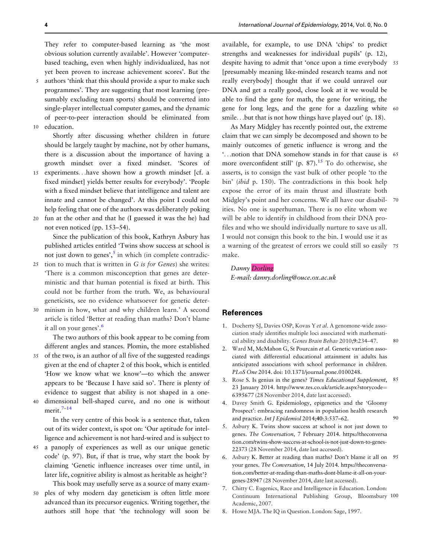<span id="page-3-0"></span>They refer to computer-based learning as 'the most obvious solution currently available'. However 'computerbased teaching, even when highly individualized, has not yet been proven to increase achievement scores'. But the

5 authors 'think that this should provide a spur to make such programmes'. They are suggesting that most learning (presumably excluding team sports) should be converted into single-player intellectual computer games, and the dynamic of peer-to-peer interaction should be eliminated from 10 education.

Shortly after discussing whether children in future should be largely taught by machine, not by other humans, there is a discussion about the importance of having a growth mindset over a fixed mindset. 'Scores of

- 15 experiments...have shown how a growth mindset [cf. a fixed mindset] yields better results for everybody'. 'People with a fixed mindset believe that intelligence and talent are innate and cannot be changed'. At this point I could not help feeling that one of the authors was deliberately poking
- 20 fun at the other and that he (I guessed it was the he) had not even noticed (pp. 153–54).

Since the publication of this book, Kathryn Asbury has published articles entitled 'Twins show success at school is not just down to genes',  $\frac{5}{3}$  in which (in complete contradic-

- 25 tion to much that is written in G is for Genes) she writes: 'There is a common misconception that genes are deterministic and that human potential is fixed at birth. This could not be further from the truth. We, as behavioural geneticists, see no evidence whatsoever for genetic deter-
- 30 minism in how, what and why children learn.' A second article is titled 'Better at reading than maths? Don't blame it all on your genes'.6

The two authors of this book appear to be coming from different angles and stances. Plomin, the more established

- 35 of the two, is an author of all five of the suggested readings given at the end of chapter 2 of this book, which is entitled 'How we know what we know'—to which the answer appears to be 'Because I have said so'. There is plenty of evidence to suggest that ability is not shaped in a one-
- 40 dimensional bell-shaped curve, and no one is without merit. $7-14$

In the very centre of this book is a sentence that, taken out of its wider context, is spot on: 'Our aptitude for intelligence and achievement is not hard-wired and is subject to

45 a panoply of experiences as well as our unique genetic code' (p. 97). But, if that is true, why start the book by claiming 'Genetic influence increases over time until, in later life, cognitive ability is almost as heritable as height'? This book may usefully serve as a source of many exam-

50 ples of why modern day geneticism is often little more advanced than its precursor eugenics. Writing together, the authors still hope that 'the technology will soon be

available, for example, to use DNA 'chips' to predict strengths and weaknesses for individual pupils' (p. 12), despite having to admit that 'once upon a time everybody 55 [presumably meaning like-minded research teams and not really everybody] thought that if we could unravel our DNA and get a really good, close look at it we would be able to find the gene for math, the gene for writing, the gene for long legs, and the gene for a dazzling white 60 smile...but that is not how things have played out' (p. 18).

As Mary Midgley has recently pointed out, the extreme claim that we can simply be decomposed and shown to be mainly outcomes of genetic influence is wrong and the '...notion that DNA somehow stands in for that cause is 65 more overconfident still' (p. 87).<sup>15</sup> To do otherwise, she asserts, is to consign the vast bulk of other people 'to the bin' (ibid p. 150). The contradictions in this book help expose the error of its main thrust and illustrate both Midgley's point and her concerns. We all have our disabil- 70 ities. No one is superhuman. There is no elite whom we will be able to identify in childhood from their DNA profiles and who we should individually nurture to save us all. I would not consign this book to the bin. I would use it as a warning of the greatest of errors we could still so easily 75 make.

Danny Dorling E-mail: danny.dorling@ouce.ox.ac.uk

## References

- 1. Docherty SJ, Davies OSP, Kovas Y et al. A genomone-wide association study identifies multiple loci associated with mathematical ability and disability. Genes Brain Behav 2010;9:234–47. 80
- 2. Ward M, McMahon G, St Pourcain et al. Genetic variation associated with differential educational attainment in adults has anticipated associations with school performance in children. PLoS One 2014. doi: 10.1371/journal.pone.0100248.
- 3. Rose S. Is genius in the genes? Times Educational Supplement, 85 23 January 2014. [http://www.tes.co.uk/article.aspx?storycode](http://www.tes.co.uk/article.aspx?storycode=6395677)= [6395677](http://www.tes.co.uk/article.aspx?storycode=6395677) (28 November 2014, date last accessed).
- 4. Davey Smith G. Epidemiology, epigenetics and the 'Gloomy Prospect': embracing randomness in population health research and practice. Int J Epidemiol 2014;40:3:537-62. 90
- 5. Asbury K. Twins show success at school is not just down to genes. The Conversation, 7 February 2014. [https://theconversa](https://theconversation.com/twins-show-success-at-school-is-not-just-down-to-genes-22373) [tion.com/twins-show-success-at-school-is-not-just-down-to-genes-](https://theconversation.com/twins-show-success-at-school-is-not-just-down-to-genes-22373)[22373](https://theconversation.com/twins-show-success-at-school-is-not-just-down-to-genes-22373) (28 November 2014, date last accessed).
- 6. Asbury K. Better at reading than maths? Don't blame it all on 95 your genes. The Conversation, 14 July 2014. [https://theconversa](https://theconversation.com/better-at-reading-than-maths-dont-blame-it-all-on-your-genes-28947)[tion.com/better-at-reading-than-maths-dont-blame-it-all-on-your](https://theconversation.com/better-at-reading-than-maths-dont-blame-it-all-on-your-genes-28947)[genes-28947](https://theconversation.com/better-at-reading-than-maths-dont-blame-it-all-on-your-genes-28947) (28 November 2014, date last accessed).
- 7. Chitty C. Eugenics, Race and Intelligence in Education. London: Continuum International Publishing Group, Bloomsbury 100 Academic, 2007.
- 8. Howe MJA. The IQ in Question. London: Sage, 1997.